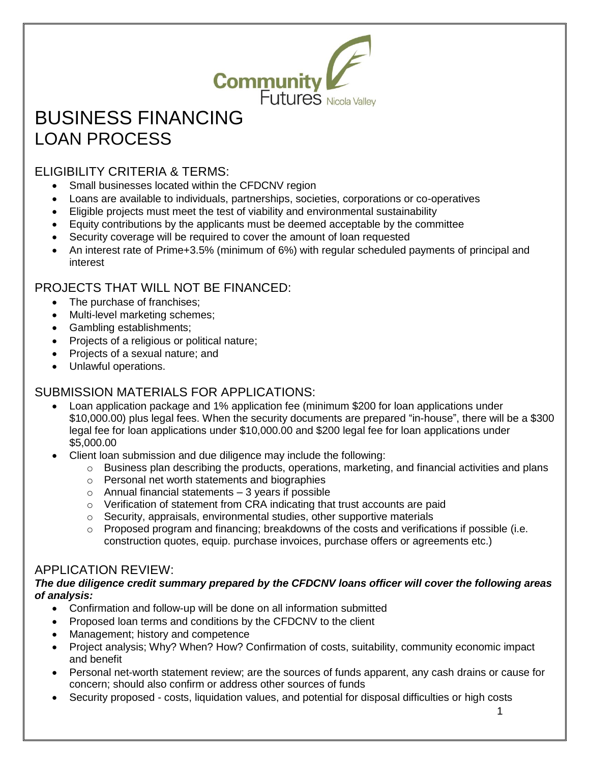

# BUSINESS FINANCING LOAN PROCESS

## ELIGIBILITY CRITERIA & TERMS:

- Small businesses located within the CFDCNV region
- Loans are available to individuals, partnerships, societies, corporations or co-operatives
- Eligible projects must meet the test of viability and environmental sustainability
- Equity contributions by the applicants must be deemed acceptable by the committee
- Security coverage will be required to cover the amount of loan requested
- An interest rate of Prime+3.5% (minimum of 6%) with regular scheduled payments of principal and interest

## PROJECTS THAT WILL NOT BE FINANCED:

- The purchase of franchises;
- Multi-level marketing schemes;
- Gambling establishments;
- Projects of a religious or political nature:
- Projects of a sexual nature; and
- Unlawful operations.

### SUBMISSION MATERIALS FOR APPLICATIONS:

- Loan application package and 1% application fee (minimum \$200 for loan applications under \$10,000.00) plus legal fees. When the security documents are prepared "in-house", there will be a \$300 legal fee for loan applications under \$10,000.00 and \$200 legal fee for loan applications under \$5,000.00
- Client loan submission and due diligence may include the following:
	- $\circ$  Business plan describing the products, operations, marketing, and financial activities and plans
	- o Personal net worth statements and biographies
	- $\circ$  Annual financial statements  $-3$  years if possible
	- o Verification of statement from CRA indicating that trust accounts are paid
	- o Security, appraisals, environmental studies, other supportive materials
	- $\circ$  Proposed program and financing; breakdowns of the costs and verifications if possible (i.e. construction quotes, equip. purchase invoices, purchase offers or agreements etc.)

#### APPLICATION REVIEW:

#### *The due diligence credit summary prepared by the CFDCNV loans officer will cover the following areas of analysis:*

- Confirmation and follow-up will be done on all information submitted
- Proposed loan terms and conditions by the CFDCNV to the client
- Management; history and competence
- Project analysis; Why? When? How? Confirmation of costs, suitability, community economic impact and benefit
- Personal net-worth statement review; are the sources of funds apparent, any cash drains or cause for concern; should also confirm or address other sources of funds
- Security proposed costs, liquidation values, and potential for disposal difficulties or high costs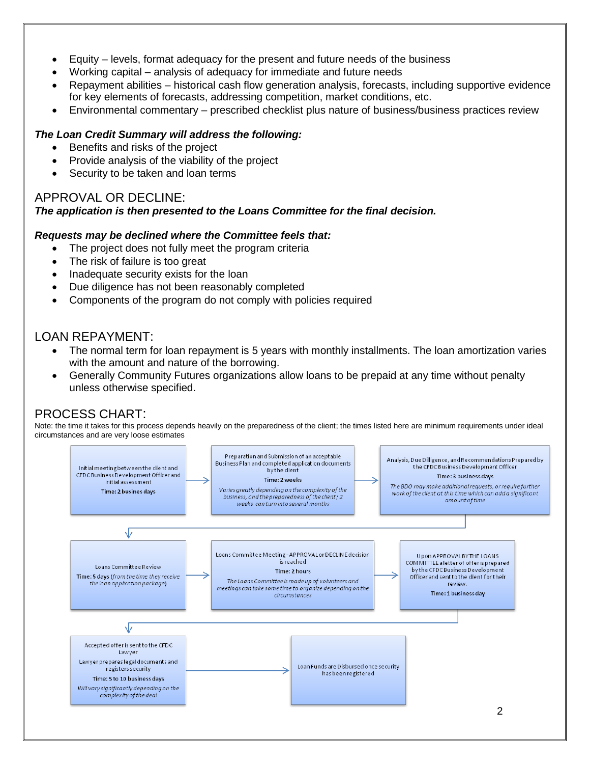- Equity levels, format adequacy for the present and future needs of the business
- Working capital analysis of adequacy for immediate and future needs
- Repayment abilities historical cash flow generation analysis, forecasts, including supportive evidence for key elements of forecasts, addressing competition, market conditions, etc.
- Environmental commentary prescribed checklist plus nature of business/business practices review

#### *The Loan Credit Summary will address the following:*

- Benefits and risks of the project
- Provide analysis of the viability of the project
- Security to be taken and loan terms

#### APPROVAL OR DECLINE:

#### *The application is then presented to the Loans Committee for the final decision.*

#### *Requests may be declined where the Committee feels that:*

- The project does not fully meet the program criteria
- The risk of failure is too great
- Inadequate security exists for the loan
- Due diligence has not been reasonably completed
- Components of the program do not comply with policies required

#### LOAN REPAYMENT:

- The normal term for loan repayment is 5 years with monthly installments. The loan amortization varies with the amount and nature of the borrowing.
- Generally Community Futures organizations allow loans to be prepaid at any time without penalty unless otherwise specified.

#### PROCESS CHART:

Note: the time it takes for this process depends heavily on the preparedness of the client; the times listed here are minimum requirements under ideal circumstances and are very loose estimates